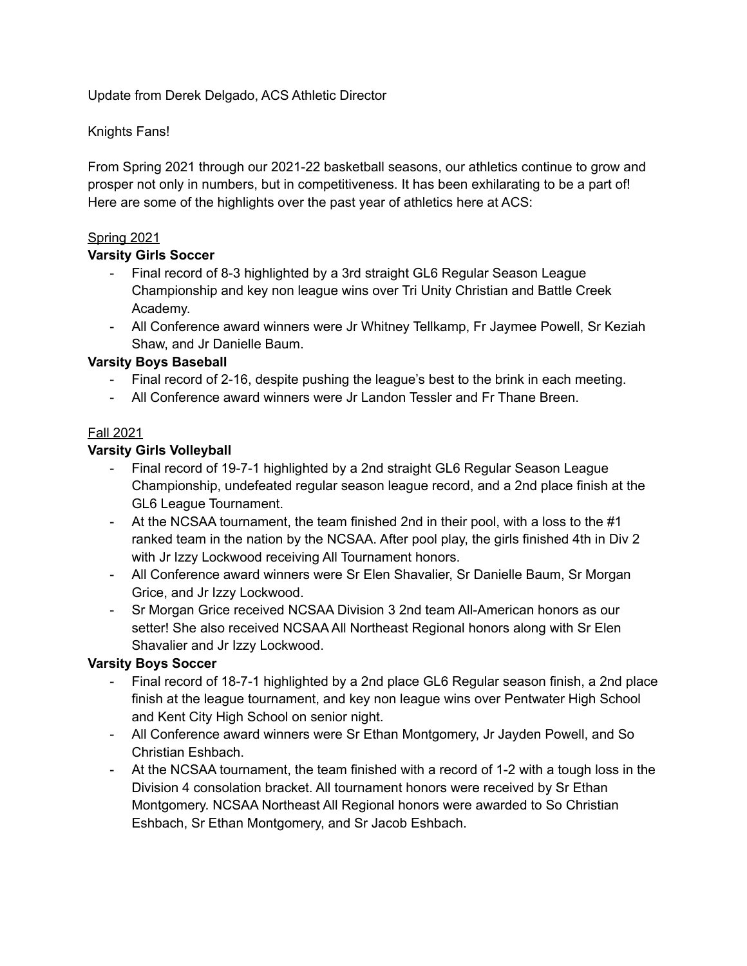Update from Derek Delgado, ACS Athletic Director

# Knights Fans!

From Spring 2021 through our 2021-22 basketball seasons, our athletics continue to grow and prosper not only in numbers, but in competitiveness. It has been exhilarating to be a part of! Here are some of the highlights over the past year of athletics here at ACS:

#### Spring 2021

#### **Varsity Girls Soccer**

- Final record of 8-3 highlighted by a 3rd straight GL6 Regular Season League Championship and key non league wins over Tri Unity Christian and Battle Creek Academy.
- All Conference award winners were Jr Whitney Tellkamp, Fr Jaymee Powell, Sr Keziah Shaw, and Jr Danielle Baum.

# **Varsity Boys Baseball**

- Final record of 2-16, despite pushing the league's best to the brink in each meeting.
- All Conference award winners were Jr Landon Tessler and Fr Thane Breen.

# Fall 2021

# **Varsity Girls Volleyball**

- Final record of 19-7-1 highlighted by a 2nd straight GL6 Regular Season League Championship, undefeated regular season league record, and a 2nd place finish at the GL6 League Tournament.
- At the NCSAA tournament, the team finished 2nd in their pool, with a loss to the #1 ranked team in the nation by the NCSAA. After pool play, the girls finished 4th in Div 2 with Jr Izzy Lockwood receiving All Tournament honors.
- All Conference award winners were Sr Elen Shavalier, Sr Danielle Baum, Sr Morgan Grice, and Jr Izzy Lockwood.
- Sr Morgan Grice received NCSAA Division 3 2nd team All-American honors as our setter! She also received NCSAA All Northeast Regional honors along with Sr Elen Shavalier and Jr Izzy Lockwood.

#### **Varsity Boys Soccer**

- Final record of 18-7-1 highlighted by a 2nd place GL6 Regular season finish, a 2nd place finish at the league tournament, and key non league wins over Pentwater High School and Kent City High School on senior night.
- All Conference award winners were Sr Ethan Montgomery, Jr Jayden Powell, and So Christian Eshbach.
- At the NCSAA tournament, the team finished with a record of 1-2 with a tough loss in the Division 4 consolation bracket. All tournament honors were received by Sr Ethan Montgomery. NCSAA Northeast All Regional honors were awarded to So Christian Eshbach, Sr Ethan Montgomery, and Sr Jacob Eshbach.